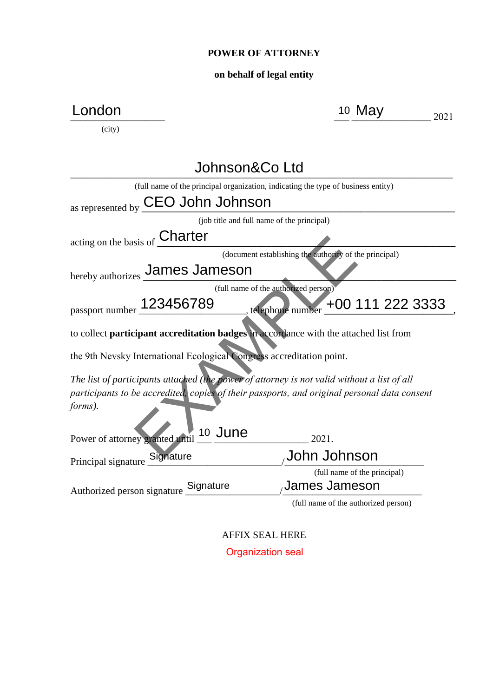## **POWER OF ATTORNEY**

## **on behalf of legal entity**

| .ondon                                                                                       | 10 May                                                 | 2021 |
|----------------------------------------------------------------------------------------------|--------------------------------------------------------|------|
| (city)                                                                                       |                                                        |      |
| Johnson&Co Ltd                                                                               |                                                        |      |
| (full name of the principal organization, indicating the type of business entity)            |                                                        |      |
| CEO John Johnson<br>as represented by                                                        |                                                        |      |
| (job title and full name of the principal)                                                   |                                                        |      |
| acting on the basis of Charter                                                               |                                                        |      |
|                                                                                              | (document establishing the authority of the principal) |      |
| hereby authorizes James Jameson                                                              |                                                        |      |
|                                                                                              | (full name of the authorized person)                   |      |
| passport number 123456789                                                                    | . telephone number +00 111 222 3333                    |      |
| to collect participant accreditation badges in accordance with the attached list from        |                                                        |      |
| the 9th Nevsky International Ecological Congress accreditation point.                        |                                                        |      |
| The list of participants attached (the power of attorney is not valid without a list of all  |                                                        |      |
| participants to be accredited, copies of their passports, and original personal data consent |                                                        |      |
| forms).                                                                                      |                                                        |      |
| 10 June<br>Power of attorney granted until                                                   | 2021.                                                  |      |
| Principal signature Signature                                                                | John Johnson                                           |      |
|                                                                                              | (full name of the principal)                           |      |
| Authorized person signature Signature                                                        | <b>James Jameson</b>                                   |      |
|                                                                                              | (full name of the authorized person)                   |      |

AFFIX SEAL HERE Organization seal